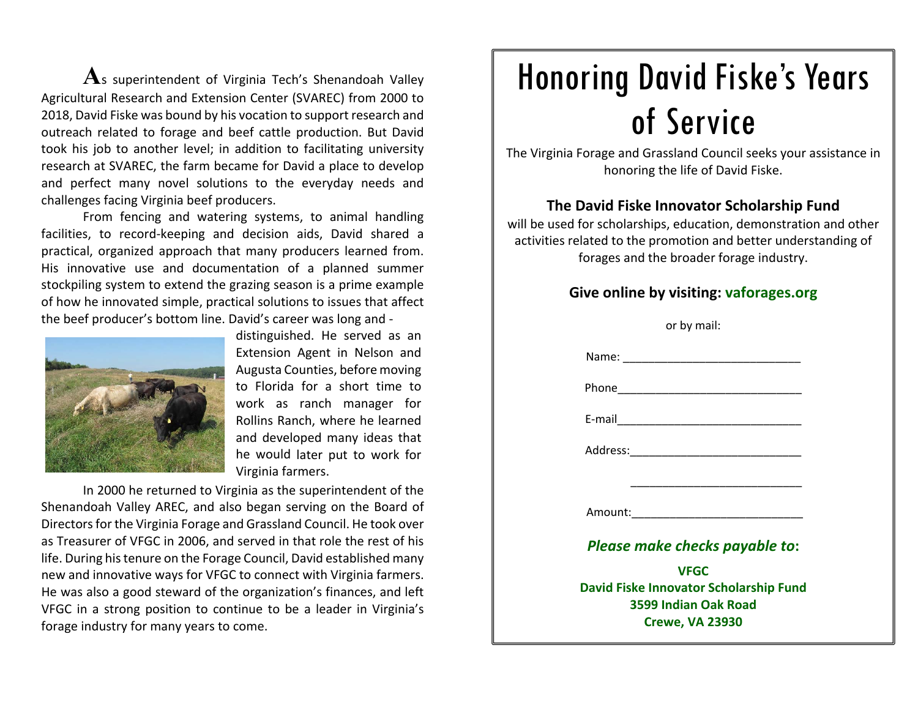**A**s superintendent of Virginia Tech's Shenandoah Valley Agricultural Research and Extension Center (SVAREC) from 2000 to 2018, David Fiske was bound by his vocation to support research and outreach related to forage and beef cattle production. But David took his job to another level; in addition to facilitating university research at SVAREC, the farm became for David <sup>a</sup> place to develop and perfect many novel solutions to the everyday needs and challenges facing Virginia beef producers.

From fencing and watering systems, to animal handling facilities, to record-keeping and decision aids, David shared a practical, organized approach that many producers learned from. His innovative use and documentation of <sup>a</sup> planned summer stockpiling system to extend the grazing season is <sup>a</sup> prime example of how he innovated simple, practical solutions to issues that affect the beef producer's bottom line. David's career was long and ‐



distinguished. He served as an Extension Agent in Nelson and Augusta Counties, before moving to Florida for <sup>a</sup> short time to work as ranch manager for Rollins Ranch, where he learned and developed many ideas that he would later put to work for Virginia farmers.

In 2000 he returned to Virginia as the superintendent of the Shenandoah Valley AREC, and also began serving on the Board of Directors for the Virginia Forage and Grassland Council. He took over as Treasurer of VFGC in 2006, and served in that role the rest of his life. During his tenure on the Forage Council, David established many new and innovative ways for VFGC to connect with Virginia farmers. He was also <sup>a</sup> good steward of the organization's finances, and left VFGC in <sup>a</sup> strong position to continue to be <sup>a</sup> leader in Virginia's forage industry for many years to come.

## Honoring David Fiske's Years of Service

The Virginia Forage and Grassland Council seeks your assistance in honoring the life of David Fiske.

## **The David Fiske Innovator Scholarship Fund**

will be used for scholarships, education, demonstration and other activities related to the promotion and better understanding of forages and the broader forage industry.

## **Give online by visiting: vaforages.org**

| or by mail:                                                                                                   |
|---------------------------------------------------------------------------------------------------------------|
|                                                                                                               |
|                                                                                                               |
|                                                                                                               |
|                                                                                                               |
| <u> 1989 - Johann John Stone, mars et al. (1989)</u>                                                          |
| Amount: Amount: Amount: Amount: Amount: Amount: Amount: Amount: Amount: Amount: Amount: Amount: Amount: Amoun |
| Please make checks payable to:                                                                                |
| <b>VFGC</b>                                                                                                   |
| David Fiske Innovator Scholarship Fund<br>3599 Indian Oak Road<br><b>Crewe, VA 23930</b>                      |